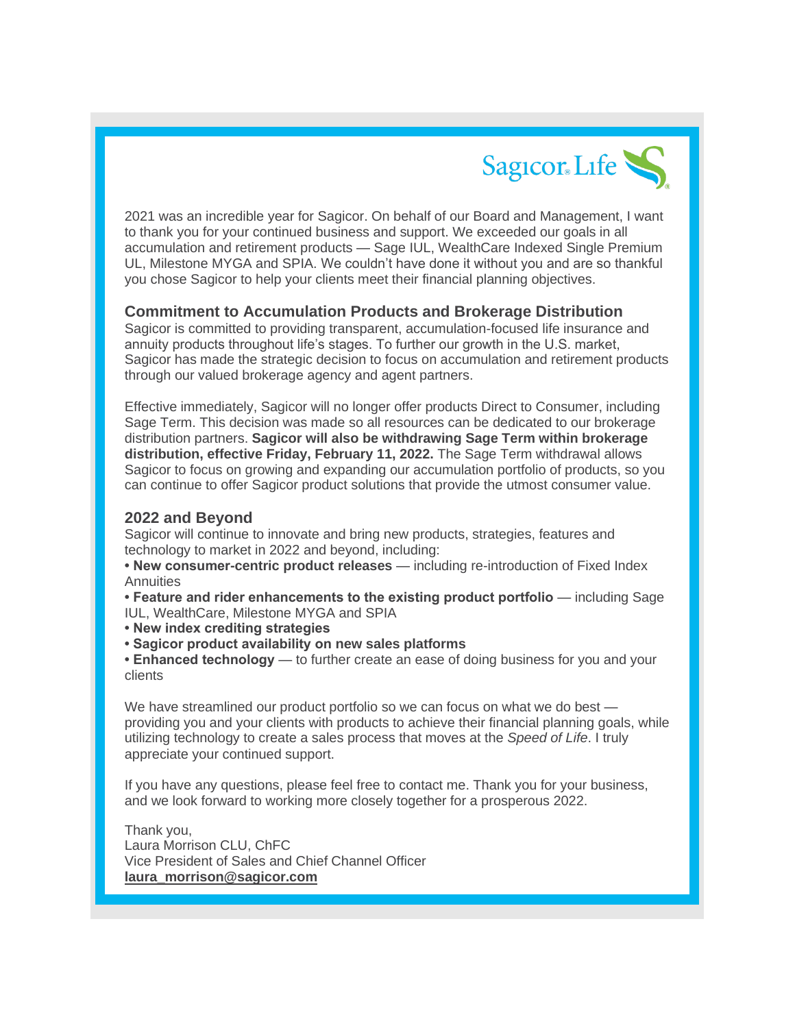

2021 was an incredible year for Sagicor. On behalf of our Board and Management, I want to thank you for your continued business and support. We exceeded our goals in all accumulation and retirement products — Sage IUL, WealthCare Indexed Single Premium UL, Milestone MYGA and SPIA. We couldn't have done it without you and are so thankful you chose Sagicor to help your clients meet their financial planning objectives.

## **Commitment to Accumulation Products and Brokerage Distribution**

Sagicor is committed to providing transparent, accumulation-focused life insurance and annuity products throughout life's stages. To further our growth in the U.S. market, Sagicor has made the strategic decision to focus on accumulation and retirement products through our valued brokerage agency and agent partners.

Effective immediately, Sagicor will no longer offer products Direct to Consumer, including Sage Term. This decision was made so all resources can be dedicated to our brokerage distribution partners. **Sagicor will also be withdrawing Sage Term within brokerage distribution, effective Friday, February 11, 2022.** The Sage Term withdrawal allows Sagicor to focus on growing and expanding our accumulation portfolio of products, so you can continue to offer Sagicor product solutions that provide the utmost consumer value.

## **2022 and Beyond**

Sagicor will continue to innovate and bring new products, strategies, features and technology to market in 2022 and beyond, including:

**• New consumer-centric product releases** — including re-introduction of Fixed Index **Annuities** 

**• Feature and rider enhancements to the existing product portfolio** — including Sage IUL, WealthCare, Milestone MYGA and SPIA

**• New index crediting strategies**

**• Sagicor product availability on new sales platforms**

**• Enhanced technology** — to further create an ease of doing business for you and your clients

We have streamlined our product portfolio so we can focus on what we do best providing you and your clients with products to achieve their financial planning goals, while utilizing technology to create a sales process that moves at the *Speed of Life*. I truly appreciate your continued support.

If you have any questions, please feel free to contact me. Thank you for your business, and we look forward to working more closely together for a prosperous 2022.

Thank you, Laura Morrison CLU, ChFC Vice President of Sales and Chief Channel Officer **[laura\\_morrison@sagicor.com](mailto:laura_morrison@sagicor.com)**